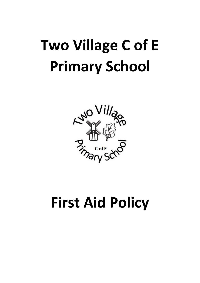

# **First Aid Policy**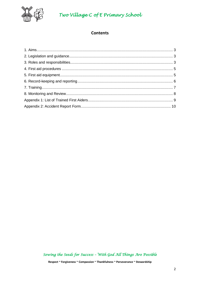

## **Contents**

Sowing the Seeds for Success - With God All Things Are Possible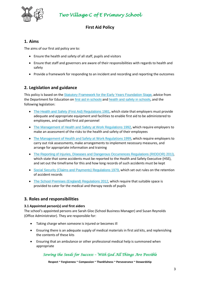

# **First Aid Policy**

#### **1. Aims**

The aims of our first aid policy are to:

- Ensure the health and safety of all staff, pupils and visitors
- Ensure that staff and governors are aware of their responsibilities with regards to health and safety
- Provide a framework for responding to an incident and recording and reporting the outcomes

# **2. Legislation and guidance**

This policy is based on the [Statutory Framework for the Early Years Foundation Stage](https://www.gov.uk/government/uploads/system/uploads/attachment_data/file/596629/EYFS_STATUTORY_FRAMEWORK_2017.pdf), advice from the Department for Education on [first aid in schools](https://www.gov.uk/government/publications/first-aid-in-schools) and [health and safety in schools](https://www.gov.uk/government/publications/health-and-safety-advice-for-schools), and the following legislation:

- [The Health and Safety \(First Aid\) Regulations 1981](http://www.legislation.gov.uk/uksi/1981/917/regulation/3/made), which state that employers must provide adequate and appropriate equipment and facilities to enable first aid to be administered to employees, and qualified first aid personnel
- [The Management of Health and Safety at Work Regulations 1992](http://www.legislation.gov.uk/uksi/1992/2051/regulation/3/made), which require employers to make an assessment of the risks to the health and safety of their employees
- [The Management of Health and Safety at Work Regulations 1999,](http://www.legislation.gov.uk/uksi/1999/3242/contents/made) which require employers to carry out risk assessments, make arrangements to implement necessary measures, and arrange for appropriate information and training
- [The Reporting of Injuries, Diseases and Dangerous Occurrences Regulations](http://www.legislation.gov.uk/uksi/2013/1471/schedule/1/paragraph/1/made) (RIDDOR) 2013, which state that some accidents must be reported to the Health and Safety Executive (HSE), and set out the timeframe for this and how long records of such accidents must be kept
- [Social Security \(Claims and Payments\) Regulations 1979](http://www.legislation.gov.uk/uksi/1979/628), which set out rules on the retention of accident records
- [The School Premises \(England\) Regulations 2012](http://www.legislation.gov.uk/uksi/2012/1943/regulation/5/made), which require that suitable space is provided to cater for the medical and therapy needs of pupils

## **3. Roles and responsibilities**

#### **3.1 Appointed person(s) and first aiders**

The school's appointed persons are Sarah Gloc (School Business Manager) and Susan Reynolds (Office Administrator). They are responsible for:

- Taking charge when someone is injured or becomes ill
- Ensuring there is an adequate supply of medical materials in first aid kits, and replenishing the contents of these kits
- Ensuring that an ambulance or other professional medical help is summoned when appropriate

## *Sowing the Seeds for Success – With God All Things Are Possible*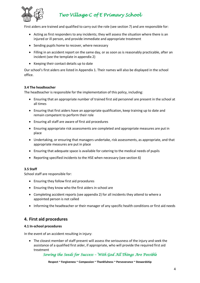

First aiders are trained and qualified to carry out the role (see section 7) and are responsible for:

- Acting as first responders to any incidents; they will assess the situation where there is an injured or ill person, and provide immediate and appropriate treatment
- Sending pupils home to recover, where necessary
- Filling in an accident report on the same day, or as soon as is reasonably practicable, after an incident (see the template in appendix 2)
- Keeping their contact details up to date

Our school's first aiders are listed in Appendix 1. Their names will also be displayed in the school office.

#### **3.4 The headteacher**

The headteacher is responsible for the implementation of this policy, including:

- Ensuring that an appropriate number of trained first aid personnel are present in the school at all times
- Ensuring that first aiders have an appropriate qualification, keep training up to date and remain competent to perform their role
- Ensuring all staff are aware of first aid procedures
- Ensuring appropriate risk assessments are completed and appropriate measures are put in place
- Undertaking, or ensuring that managers undertake, risk assessments, as appropriate, and that appropriate measures are put in place
- Ensuring that adequate space is available for catering to the medical needs of pupils
- Reporting specified incidents to the HSE when necessary (see section 6)

#### **3.5 Staff**

School staff are responsible for:

- Ensuring they follow first aid procedures
- Ensuring they know who the first aiders in school are
- Completing accident reports (see appendix 2) for all incidents they attend to where a appointed person is not called
- Informing the headteacher or their manager of any specific health conditions or first aid needs

## **4. First aid procedures**

#### **4.1 In-school procedures**

In the event of an accident resulting in injury:

• The closest member of staff present will assess the seriousness of the injury and seek the assistance of a qualified first aider, if appropriate, who will provide the required first aid treatment

#### *Sowing the Seeds for Success – With God All Things Are Possible*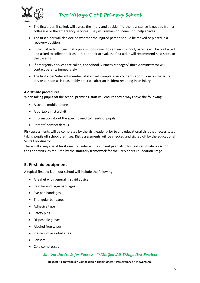

- The first aider, if called, will assess the injury and decide if further assistance is needed from a colleague or the emergency services. They will remain on scene until help arrives
- The first aider will also decide whether the injured person should be moved or placed in a recovery position
- If the first aider judges that a pupil is too unwell to remain in school, parents will be contacted and asked to collect their child. Upon their arrival, the first aider will recommend next steps to the parents
- If emergency services are called, the School Business Manager/Office Administrator will contact parents immediately
- The first aider/relevant member of staff will complete an accident report form on the same day or as soon as is reasonably practical after an incident resulting in an injury

#### **4.2 Off-site procedures**

When taking pupils off the school premises, staff will ensure they always have the following:

- A school mobile phone
- A portable first aid kit
- Information about the specific medical needs of pupils
- Parents' contact details

Risk assessments will be completed by the visit leader prior to any educational visit that necessitates taking pupils off school premises. Risk assessments will be checked and signed off by the educational Visits Coordinator.

There will always be at least one first aider with a current paediatric first aid certificate on school trips and visits, as required by the statutory framework for the Early Years Foundation Stage.

## **5. First aid equipment**

A typical first aid kit in our school will include the following:

- A leaflet with general first aid advice
- Regular and large bandages
- Eye pad bandages
- Triangular bandages
- Adhesive tape
- Safety pins
- Disposable gloves
- Alcohol free wipes
- Plasters of assorted sizes
- Scissors
- Cold compresses

## *Sowing the Seeds for Success – With God All Things Are Possible*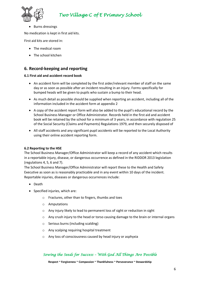

• Burns dressings

No medication is kept in first aid kits.

First aid kits are stored in:

- The medical room
- The school kitchen

## **6. Record-keeping and reporting**

#### **6.1 First aid and accident record book**

- An accident form will be completed by the first aider/relevant member of staff on the same day or as soon as possible after an incident resulting in an injury. Forms specifically for bumped heads will be given to pupils who sustain a bump to their head.
- As much detail as possible should be supplied when reporting an accident, including all of the information included in the accident form at appendix 2
- A copy of the accident report form will also be added to the pupil's educational record by the School Business Manager or Office Administrator. Records held in the first aid and accident book will be retained by the school for a minimum of 3 years, in accordance with regulation 25 of the Social Security (Claims and Payments) Regulations 1979, and then securely disposed of
- All staff accidents and any significant pupil accidents will be reported to the Local Authority using their online accident reporting form.

#### **6.2 Reporting to the HSE**

The School Business Manager/Office Administrator will keep a record of any accident which results in a reportable injury, disease, or dangerous occurrence as defined in the RIDDOR 2013 legislation (regulations 4, 5, 6 and 7).

The School Business Manager/Office Administrator will report these to the Health and Safety Executive as soon as is reasonably practicable and in any event within 10 days of the incident. Reportable injuries, diseases or dangerous occurrences include:

- Death
- Specified injuries, which are:
	- o Fractures, other than to fingers, thumbs and toes
	- o Amputations
	- o Any injury likely to lead to permanent loss of sight or reduction in sight
	- $\circ$  Any crush injury to the head or torso causing damage to the brain or internal organs
	- o Serious burns (including scalding)
	- o Any scalping requiring hospital treatment
	- o Any loss of consciousness caused by head injury or asphyxia

#### *Sowing the Seeds for Success – With God All Things Are Possible*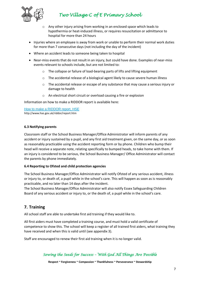

- o Any other injury arising from working in an enclosed space which leads to hypothermia or heat-induced illness, or requires resuscitation or admittance to hospital for more than 24 hours
- Injuries where an employee is away from work or unable to perform their normal work duties for more than 7 consecutive days (not including the day of the incident)
- Where an accident leads to someone being taken to hospital
- Near-miss events that do not result in an injury, but could have done. Examples of near-miss events relevant to schools include, but are not limited to:
	- o The collapse or failure of load-bearing parts of lifts and lifting equipment
	- The accidental release of a biological agent likely to cause severe human illness
	- o The accidental release or escape of any substance that may cause a serious injury or damage to health
	- o An electrical short circuit or overload causing a fire or explosion

Information on how to make a RIDDOR report is available here:

[How to make a RIDDOR report, HSE](http://www.hse.gov.uk/riddor/report.htm)

http://www.hse.gov.uk/riddor/report.htm

#### **6.3 Notifying parents**

Classroom staff or the School Business Manager/Office Administrator will inform parents of any accident or injury sustained by a pupil, and any first aid treatment given, on the same day, or as soon as reasonably practicable using the accident reporting form or by phone. Children who bump their head will receive a separate note, relating specifically to bumped heads, to take home with them. If an injury is considered to be serious, the School Business Manager/ Office Administrator will contact the parents by phone immediately.

#### **6.4 Reporting to Ofsted and child protection agencies**

The School Business Manager/Office Administrator will notify Ofsted of any serious accident, illness or injury to, or death of, a pupil while in the school's care. This will happen as soon as is reasonably practicable, and no later than 14 days after the incident.

The School Business Manager/Office Administrator will also notify Essex Safeguarding Children Board of any serious accident or injury to, or the death of, a pupil while in the school's care.

# **7. Training**

All school staff are able to undertake first aid training if they would like to.

All first aiders must have completed a training course, and must hold a valid certificate of competence to show this. The school will keep a register of all trained first aiders, what training they have received and when this is valid until (see appendix 3).

Staff are encouraged to renew their first aid training when it is no longer valid.

## *Sowing the Seeds for Success – With God All Things Are Possible*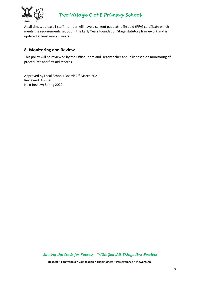

At all times, at least 1 staff member will have a current paediatric first aid (PFA) certificate which meets the requirements set out in the Early Years Foundation Stage statutory framework and is updated at least every 3 years.

## **8. Monitoring and Review**

This policy will be reviewed by the Office Team and Headteacher annually based on monitoring of procedures and first aid records.

Approved by Local Schools Board: 2<sup>nd</sup> March 2021 Reviewed: Annual Next Review: Spring 2022

*Sowing the Seeds for Success – With God All Things Are Possible*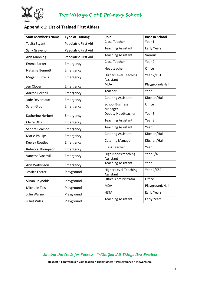

# **Appendix 1: List of Trained First Aiders**

| <b>Staff Member's Name</b> | <b>Type of Training</b> | Role                                      | <b>Base in School</b> |
|----------------------------|-------------------------|-------------------------------------------|-----------------------|
| Tacita Styant              | Paediatric First Aid    | <b>Class Teacher</b>                      | Year 1                |
| <b>Sally Gravenor</b>      | Paediatric First Aid    | <b>Teaching Assistant</b>                 | <b>Early Years</b>    |
| Ann Manning                | Paediatric First Aid    | <b>Teaching Assistant</b>                 | Various               |
| Emma Barker                | Emergency               | <b>Class Teacher</b>                      | Year <sub>2</sub>     |
| Natasha Bennett            | Emergency               | Headteacher                               | Office                |
| <b>Megan Burrells</b>      | Emergency               | <b>Higher Level Teaching</b><br>Assistant | Year 2/KS1            |
| Jen Clover                 | Emergency               | <b>MDA</b>                                | Playground/Hall       |
| <b>Aarron Cornell</b>      | Emergency               | Teacher                                   | Year <sub>3</sub>     |
| Jade Devereaux             | Emergency               | <b>Catering Assistant</b>                 | Kitchen/Hall          |
| Sarah Gloc                 | Emergency               | <b>School Business</b><br>Manager         | Office                |
| Katherine Herbert          | Emergency               | Deputy Headteacher                        | Year 5                |
| <b>Claire Ollis</b>        | Emergency               | <b>Teaching Assistant</b>                 | Year <sub>3</sub>     |
| Sandra Pearson             | Emergency               | <b>Teaching Assistant</b>                 | Year 5                |
| <b>Marie Phillips</b>      | Emergency               | <b>Catering Assistant</b>                 | Kitchen/Hall          |
| Keeley Routley             | Emergency               | <b>Catering Manager</b>                   | Kitchen/Hall          |
| Rebecca Thompson           | Emergency               | <b>Class Teacher</b>                      | Year 6                |
| Vanessa Vaclavik           | Emergency               | <b>High Needs teaching</b><br>Assistant   | Year 3/4              |
| Ann Watkinson              | Emergency               | <b>Teaching Assistant</b>                 | Year 6                |
| Jessica Foster             | Playground              | <b>Higher Level Teaching</b><br>Assistant | Year 4/KS2            |
| Susan Reynolds             | Playground              | Office Administrator                      | Office                |
| Michelle Tozzi             | Playground              | <b>MDA</b>                                | Playground/Hall       |
| Julie Warner               | Playground              | <b>HLTA</b>                               | <b>Early Years</b>    |
| Juliet Willis              | Playground              | <b>Teaching Assistant</b>                 | <b>Early Years</b>    |

*Sowing the Seeds for Success – With God All Things Are Possible*